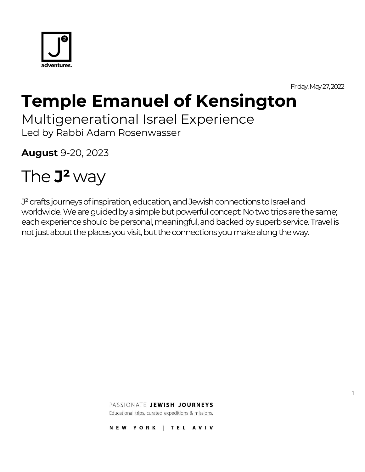

Friday, May 27, 2022

1

# **Temple Emanuel of Kensington**

Multigenerational Israel Experience

Led by Rabbi Adam Rosenwasser

**August** 9-20, 2023

# The **J²** way

J<sup>2</sup> crafts journeys of inspiration, education, and Jewish connections to Israel and worldwide. We are guided by a simple but powerful concept: No two trips are the same; each experience should be personal, meaningful, and backed by superb service. Travel is not just about the places you visit, but the connections you make along the way.

PASSIONATE JEWISH JOURNEYS

Educational trips, curated expeditions & missions.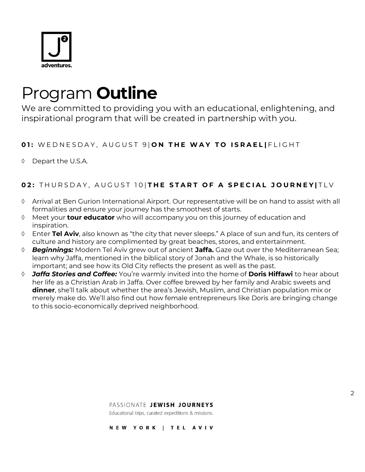

## Program **Outline**

We are committed to providing you with an educational, enlightening, and inspirational program that will be created in partnership with you.

#### **0 1 :** W E D N E S D A Y , A U G U S T 9 | **O N T H E W A Y T O I S R A E L |** F L I G H T

♦ Depart the U.S.A.

## **02: THURSDAY, AUGUST 10 THE START OF A SPECIAL JOURNEY | TLV**

- Arrival at Ben Gurion International Airport. Our representative will be on hand to assist with all formalities and ensure your journey has the smoothest of starts.
- Meet your **tour educator** who will accompany you on this journey of education and inspiration.
- Enter **Tel Aviv**, also known as "the city that never sleeps." A place of sun and fun, its centers of culture and history are complimented by great beaches, stores, and entertainment.
- *Beginnings:* Modern Tel Aviv grew out of ancient **Jaffa.** Gaze out over the Mediterranean Sea; learn why Jaffa, mentioned in the biblical story of Jonah and the Whale, is so historically important; and see how its Old City reflects the present as well as the past.
- *Jaffa Stories and Coffee:* You're warmly invited into the home of **Doris Hiffawi** to hear about her life as a Christian Arab in Jaffa. Over coffee brewed by her family and Arabic sweets and **dinner**, she'll talk about whether the area's Jewish, Muslim, and Christian population mix or merely make do. We'll also find out how female entrepreneurs like Doris are bringing change to this socio-economically deprived neighborhood.

#### PASSIONATE JEWISH JOURNEYS

Educational trips, curated expeditions & missions.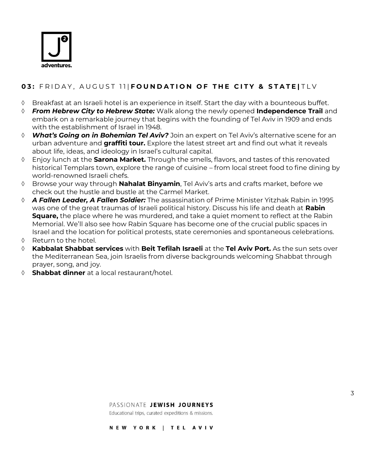

## **03: FRIDAY, AUGUST 11|FOUNDATION OF THE CITY & STATE|TLV**

- $\Diamond$  Breakfast at an Israeli hotel is an experience in itself. Start the day with a bounteous buffet.
- *From Hebrew City to Hebrew State:* Walk along the newly opened **Independence Trail** and embark on a remarkable journey that begins with the founding of Tel Aviv in 1909 and ends with the establishment of Israel in 1948.
- *What's Going on in Bohemian Tel Aviv?* Join an expert on Tel Aviv's alternative scene for an urban adventure and **graffiti tour.** Explore the latest street art and find out what it reveals about life, ideas, and ideology in Israel's cultural capital.
- Enjoy lunch at the **Sarona Market.** Through the smells, flavors, and tastes of this renovated historical Templars town, explore the range of cuisine – from local street food to fine dining by world-renowned Israeli chefs.
- Browse your way through **Nahalat Binyamin**, Tel Aviv's arts and crafts market, before we check out the hustle and bustle at the Carmel Market.
- *A Fallen Leader, A Fallen Soldier:* The assassination of Prime Minister Yitzhak Rabin in 1995 was one of the great traumas of Israeli political history. Discuss his life and death at **Rabin Square,** the place where he was murdered, and take a quiet moment to reflect at the Rabin Memorial. We'll also see how Rabin Square has become one of the crucial public spaces in Israel and the location for political protests, state ceremonies and spontaneous celebrations.
- $\Diamond$  Return to the hotel.
- **Kabbalat Shabbat services** with **Beit Tefilah Israeli** at the **Tel Aviv Port.** As the sun sets over the Mediterranean Sea, join Israelis from diverse backgrounds welcoming Shabbat through prayer, song, and joy.
- **Shabbat dinner** at a local restaurant/hotel.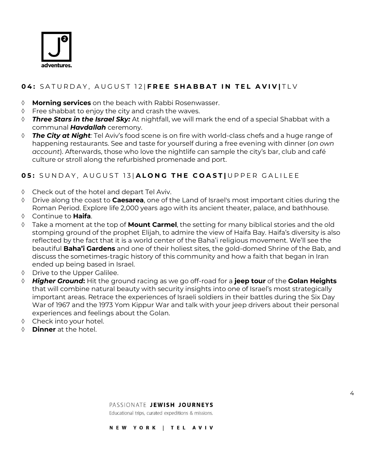

## **0 4 :** S A T U R D A Y , A U G U S T 1 2 | **F R E E S H A B B A T I N T E L A V I V |** T L V

- **Morning services** on the beach with Rabbi Rosenwasser.
- $\Diamond$  Free shabbat to enjoy the city and crash the waves.
- *Three Stars in the Israel Sky:* At nightfall, we will mark the end of a special Shabbat with a communal *Havdallah* ceremony.
- *The City at Night:* Tel Aviv's food scene is on fire with world-class chefs and a huge range of happening restaurants. See and taste for yourself during a free evening with dinner (*on own account*). Afterwards, those who love the nightlife can sample the city's bar, club and café culture or stroll along the refurbished promenade and port.

## **05:** SUNDAY, AUGUST 13 ALONG THE COAST | UPPER GALILEE

- Check out of the hotel and depart Tel Aviv.
- Drive along the coast to **Caesarea**, one of the Land of Israel's most important cities during the Roman Period. Explore life 2,000 years ago with its ancient theater, palace, and bathhouse.
- Continue to **Haifa**.
- Take a moment at the top of **Mount Carmel**, the setting for many biblical stories and the old stomping ground of the prophet Elijah, to admire the view of Haifa Bay. Haifa's diversity is also reflected by the fact that it is a world center of the Baha'i religious movement. We'll see the beautiful **Baha'i Gardens** and one of their holiest sites, the gold-domed Shrine of the Bab, and discuss the sometimes-tragic history of this community and how a faith that began in Iran ended up being based in Israel.
- ♦ Drive to the Upper Galilee.
- *Higher Ground***:** Hit the ground racing as we go off-road for a **jeep tour** of the **Golan Heights** that will combine natural beauty with security insights into one of Israel's most strategically important areas. Retrace the experiences of Israeli soldiers in their battles during the Six Day War of 1967 and the 1973 Yom Kippur War and talk with your jeep drivers about their personal experiences and feelings about the Golan.
- $\Diamond$  Check into your hotel.
- **Dinner** at the hotel.

Educational trips, curated expeditions & missions.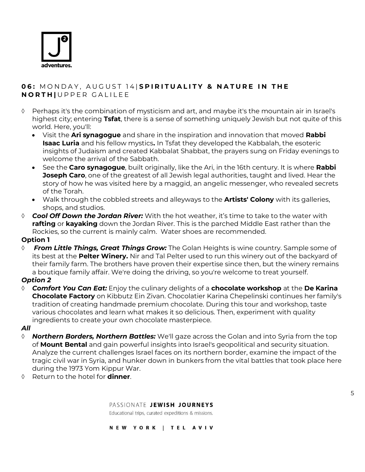

#### **06: MONDAY, AUGUST 14 SPIRITUALITY & NATURE IN THE N O R T H |** U P P E R G A L I L E E

- $\Diamond$  Perhaps it's the combination of mysticism and art, and maybe it's the mountain air in Israel's highest city; entering **Tsfat**, there is a sense of something uniquely Jewish but not quite of this world. Here, you'll:
	- Visit the **Ari synagogue** and share in the inspiration and innovation that moved **Rabbi Isaac Luria** and his fellow mystics**.** In Tsfat they developed the Kabbalah, the esoteric insights of Judaism and created Kabbalat Shabbat, the prayers sung on Friday evenings to welcome the arrival of the Sabbath.
	- See the **Caro synagogue**, built originally, like the Ari, in the 16th century. It is where **Rabbi Joseph Caro**, one of the greatest of all Jewish legal authorities, taught and lived. Hear the story of how he was visited here by a maggid, an angelic messenger, who revealed secrets of the Torah.
	- Walk through the cobbled streets and alleyways to the **Artists' Colony** with its galleries, shops, and studios.
- **Cool Off Down the Jordan River:** With the hot weather, it's time to take to the water with **rafting** or **kayaking** down the Jordan River. This is the parched Middle East rather than the Rockies, so the current is mainly calm. Water shoes are recommended.

#### **Option 1**

 *From Little Things, Great Things Grow:* The Golan Heights is wine country. Sample some of its best at the **Pelter Winery.** Nir and Tal Pelter used to run this winery out of the backyard of their family farm. The brothers have proven their expertise since then, but the winery remains a boutique family affair. We're doing the driving, so you're welcome to treat yourself.

#### *Option 2*

 *Comfort You Can Eat:* Enjoy the culinary delights of a **chocolate workshop** at the **De Karina Chocolate Factory** on Kibbutz Ein Zivan. Chocolatier Karina Chepelinski continues her family's tradition of creating handmade premium chocolate. During this tour and workshop, taste various chocolates and learn what makes it so delicious. Then, experiment with quality ingredients to create your own chocolate masterpiece.

#### *All*

- *Northern Borders, Northern Battles:* We'll gaze across the Golan and into Syria from the top of **Mount Bental** and gain powerful insights into Israel's geopolitical and security situation. Analyze the current challenges Israel faces on its northern border, examine the impact of the tragic civil war in Syria, and hunker down in bunkers from the vital battles that took place here during the 1973 Yom Kippur War.
- Return to the hotel for **dinner**.

#### PASSIONATE JEWISH JOURNEYS

Educational trips, curated expeditions & missions.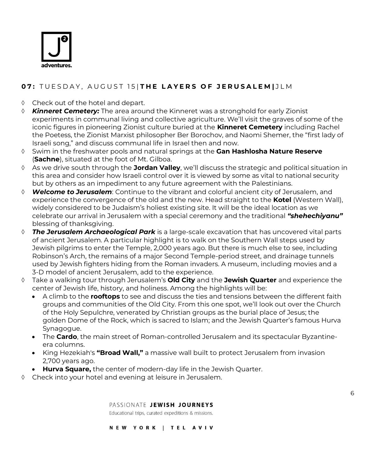

## **0 7 :** T U E S D A Y , A U G U S T 1 5 | **T H E L A Y E R S O F J E R U S A L E M |** J L M

- ♦ Check out of the hotel and depart.
- *Kinneret Cemetery:* The area around the Kinneret was a stronghold for early Zionist experiments in communal living and collective agriculture. We'll visit the graves of some of the iconic figures in pioneering Zionist culture buried at the **Kinneret Cemetery** including Rachel the Poetess, the Zionist Marxist philosopher Ber Borochov, and Naomi Shemer, the "first lady of Israeli song," and discuss communal life in Israel then and now.
- Swim in the freshwater pools and natural springs at the **Gan Hashlosha Nature Reserve** (**Sachne**), situated at the foot of Mt. Gilboa.
- As we drive south through the **Jordan Valley**, we'll discuss the strategic and political situation in this area and consider how Israeli control over it is viewed by some as vital to national security but by others as an impediment to any future agreement with the Palestinians.
- *Welcome to Jerusalem*: Continue to the vibrant and colorful ancient city of Jerusalem, and experience the convergence of the old and the new. Head straight to the **Kotel** (Western Wall), widely considered to be Judaism's holiest existing site. It will be the ideal location as we celebrate our arrival in Jerusalem with a special ceremony and the traditional *"shehechiyanu"* blessing of thanksgiving.
- *The Jerusalem Archaeological Park* is a large-scale excavation that has uncovered vital parts of ancient Jerusalem. A particular highlight is to walk on the Southern Wall steps used by Jewish pilgrims to enter the Temple, 2,000 years ago. But there is much else to see, including Robinson's Arch, the remains of a major Second Temple-period street, and drainage tunnels used by Jewish fighters hiding from the Roman invaders. A museum, including movies and a 3-D model of ancient Jerusalem, add to the experience.
- Take a walking tour through Jerusalem's **Old City** and the **Jewish Quarter** and experience the center of Jewish life, history, and holiness. Among the highlights will be:
	- A climb to the **rooftops** to see and discuss the ties and tensions between the different faith groups and communities of the Old City. From this one spot, we'll look out over the Church of the Holy Sepulchre, venerated by Christian groups as the burial place of Jesus; the golden Dome of the Rock, which is sacred to Islam; and the Jewish Quarter's famous Hurva Synagogue.
	- The **Cardo**, the main street of Roman-controlled Jerusalem and its spectacular Byzantineera columns.

6

- King Hezekiah's **"Broad Wall,"** a massive wall built to protect Jerusalem from invasion 2,700 years ago.
- **Hurva Square,** the center of modern-day life in the Jewish Quarter.
- Check into your hotel and evening at leisure in Jerusalem.

PASSIONATE JEWISH JOURNEYS

Educational trips, curated expeditions & missions.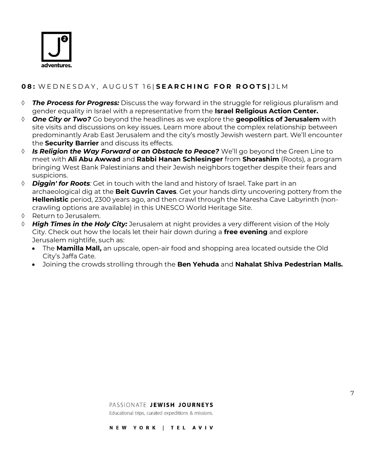

## **0 8 :** W E D N E S D A Y , A U G U S T 1 6 | **S E A R C H I N G F O R R O O T S |** J L M

- *The Process for Progress:* Discuss the way forward in the struggle for religious pluralism and gender equality in Israel with a representative from the **Israel Religious Action Center.**
- *One City or Two?* Go beyond the headlines as we explore the **geopolitics of Jerusalem** with site visits and discussions on key issues. Learn more about the complex relationship between predominantly Arab East Jerusalem and the city's mostly Jewish western part. We'll encounter the **Security Barrier** and discuss its effects.
- *Is Religion the Way Forward or an Obstacle to Peace?* We'll go beyond the Green Line to meet with **Ali Abu Awwad** and **Rabbi Hanan Schlesinger** from **Shorashim** (Roots), a program bringing West Bank Palestinians and their Jewish neighbors together despite their fears and suspicions.
- *Diggin' for Roots:* Get in touch with the land and history of Israel. Take part in an archaeological dig at the **Beit Guvrin Caves**. Get your hands dirty uncovering pottery from the **Hellenistic** period, 2300 years ago, and then crawl through the Maresha Cave Labyrinth (noncrawling options are available) in this UNESCO World Heritage Site.
- $\Diamond$  Return to Jerusalem.
- *High Times in the Holy City:* Jerusalem at night provides a very different vision of the Holy City. Check out how the locals let their hair down during a **free evening** and explore Jerusalem nightlife, such as:
	- The **Mamilla Mall,** an upscale, open-air food and shopping area located outside the Old City's Jaffa Gate.
	- Joining the crowds strolling through the **Ben Yehuda** and **Nahalat Shiva Pedestrian Malls.**

#### PASSIONATE JEWISH JOURNEYS

Educational trips, curated expeditions & missions.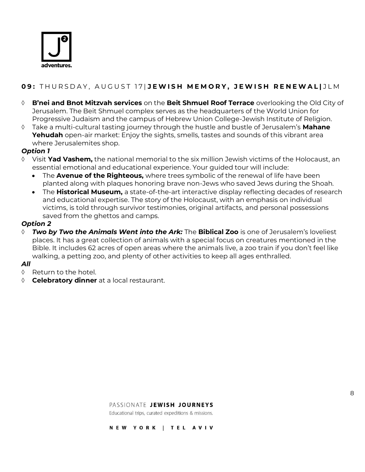

## **09: THURSDAY, AUGUST 17 JEWISH MEMORY, JEWISH RENEWAL JLM**

- **B'nei and Bnot Mitzvah services** on the **Beit Shmuel Roof Terrace** overlooking the Old City of Jerusalem. The Beit Shmuel complex serves as the headquarters of the World Union for Progressive Judaism and the campus of Hebrew Union College-Jewish Institute of Religion.
- Take a multi-cultural tasting journey through the hustle and bustle of Jerusalem's **Mahane Yehudah** open-air market: Enjoy the sights, smells, tastes and sounds of this vibrant area where Jerusalemites shop.

#### *Option 1*

- Visit **Yad Vashem,** the national memorial to the six million Jewish victims of the Holocaust, an essential emotional and educational experience. Your guided tour will include:
	- The **Avenue of the Righteous,** where trees symbolic of the renewal of life have been planted along with plaques honoring brave non-Jews who saved Jews during the Shoah.
	- The **Historical Museum,** a state-of-the-art interactive display reflecting decades of research and educational expertise. The story of the Holocaust, with an emphasis on individual victims, is told through survivor testimonies, original artifacts, and personal possessions saved from the ghettos and camps.

#### *Option 2*

 *Two by Two the Animals Went into the Ark:* The **Biblical Zoo** is one of Jerusalem's loveliest places. It has a great collection of animals with a special focus on creatures mentioned in the Bible. It includes 62 acres of open areas where the animals live, a zoo train if you don't feel like walking, a petting zoo, and plenty of other activities to keep all ages enthralled.

#### *All*

- $\Diamond$  Return to the hotel.
- **Celebratory dinner** at a local restaurant.

#### PASSIONATE JEWISH JOURNEYS

Educational trips, curated expeditions & missions.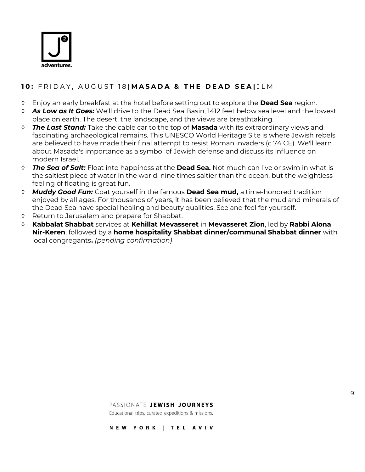

#### **1 0 :** F R I D A Y , A U G U S T 1 8 | **M A S A D A & T H E D E A D S E A |** J L M

- Enjoy an early breakfast at the hotel before setting out to explore the **Dead Sea** region.
- *As Low as It Goes:* We'll drive to the Dead Sea Basin, 1412 feet below sea level and the lowest place on earth. The desert, the landscape, and the views are breathtaking.
- *The Last Stand:* Take the cable car to the top of **Masada** with its extraordinary views and fascinating archaeological remains. This UNESCO World Heritage Site is where Jewish rebels are believed to have made their final attempt to resist Roman invaders (c 74 CE). We'll learn about Masada's importance as a symbol of Jewish defense and discuss its influence on modern Israel.
- *The Sea of Salt:* Float into happiness at the **Dead Sea.** Not much can live or swim in what is the saltiest piece of water in the world, nine times saltier than the ocean, but the weightless feeling of floating is great fun.
- *Muddy Good Fun:* Coat yourself in the famous **Dead Sea mud,** a time-honored tradition enjoyed by all ages. For thousands of years, it has been believed that the mud and minerals of the Dead Sea have special healing and beauty qualities. See and feel for yourself.
- Return to Jerusalem and prepare for Shabbat.
- **Kabbalat Shabbat** services at **Kehillat Mevasseret** in **Mevasseret Zion**, led by **Rabbi Alona Nir-Keren**, followed by a **home hospitality Shabbat dinner/communal Shabbat dinner** with local congregants**.** *(pending confirmation)*

PASSIONATE JEWISH JOURNEYS

Educational trips, curated expeditions & missions.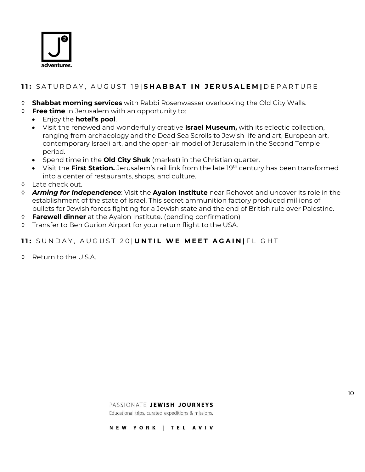

## **1 1 :** S A T U R D A Y , A U G U S T 1 9 | **S H A B B A T I N J E R U S A L E M |** D E P A R T U R E

- **Shabbat morning services** with Rabbi Rosenwasser overlooking the Old City Walls.
- **Free time** in Jerusalem with an opportunity to:
	- Enjoy the **hotel's pool**.
	- Visit the renewed and wonderfully creative **Israel Museum,** with its eclectic collection, ranging from archaeology and the Dead Sea Scrolls to Jewish life and art, European art, contemporary Israeli art, and the open-air model of Jerusalem in the Second Temple period.
	- Spend time in the **Old City Shuk** (market) in the Christian quarter.
	- Visit the **First Station.** Jerusalem's rail link from the late 19th century has been transformed into a center of restaurants, shops, and culture.
- Late check out.
- *Arming for Independence*: Visit the **Ayalon Institute** near Rehovot and uncover its role in the establishment of the state of Israel. This secret ammunition factory produced millions of bullets for Jewish forces fighting for a Jewish state and the end of British rule over Palestine.
- **Farewell dinner** at the Ayalon Institute. (pending confirmation)
- Transfer to Ben Gurion Airport for your return flight to the USA.

## 11: SUNDAY, AUGUST 20| UNTIL WE MEET AGAIN | FLIGHT

 $\Diamond$  Return to the U.S.A.

PASSIONATE JEWISH JOURNEYS

Educational trips, curated expeditions & missions.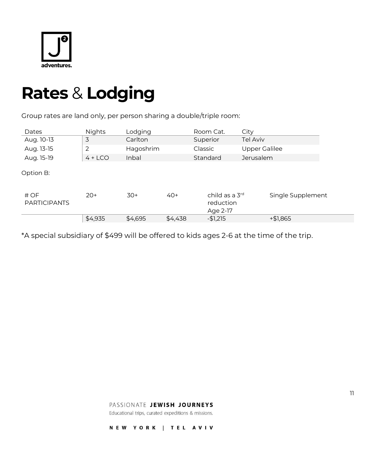

## **Rates** & **Lodging**

Group rates are land only, per person sharing a double/triple room:

| Dates                       | <b>Nights</b> | Lodging   |         | Room Cat.                               | City                 |
|-----------------------------|---------------|-----------|---------|-----------------------------------------|----------------------|
| Aug. 10-13                  | 3             | Carlton   |         | Superior                                | <b>Tel Aviv</b>      |
| Aug. 13-15                  | 2             | Hagoshrim |         | Classic                                 | <b>Upper Galilee</b> |
| Aug. 15-19                  | $4 + LCO$     | Inbal     |         | Standard                                | <b>Jerusalem</b>     |
| Option B:                   |               |           |         |                                         |                      |
| # OF<br><b>PARTICIPANTS</b> | $20+$         | $30+$     | $40+$   | child as a 3rd<br>reduction<br>Age 2-17 | Single Supplement    |
|                             | \$4,935       | \$4,695   | \$4,438 | $-$1,215$                               | $+ $1,865$           |

\*A special subsidiary of \$499 will be offered to kids ages 2-6 at the time of the trip.

PASSIONATE JEWISH JOURNEYS

Educational trips, curated expeditions & missions.

NEW YORK | TEL AVIV

11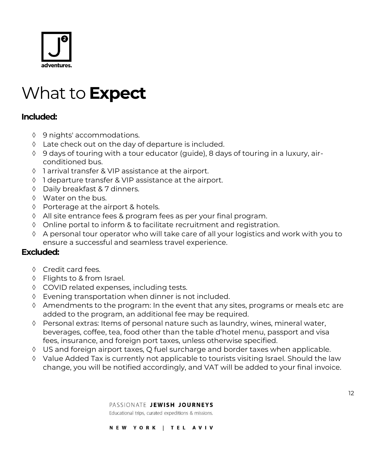

## What to **Expect**

## **Included:**

- 9 nights' accommodations.
- Late check out on the day of departure is included.
- 9 days of touring with a tour educator (guide), 8 days of touring in a luxury, airconditioned bus.
- 1 arrival transfer & VIP assistance at the airport.
- ♦ 1 departure transfer & VIP assistance at the airport.
- Daily breakfast & 7 dinners.
- Water on the bus.
- $\Diamond$  Porterage at the airport & hotels.
- All site entrance fees & program fees as per your final program.
- Online portal to inform & to facilitate recruitment and registration.
- A personal tour operator who will take care of all your logistics and work with you to ensure a successful and seamless travel experience.

## **Excluded:**

- ♦ Credit card fees.
- ♦ Flights to & from Israel.
- COVID related expenses, including tests.
- Evening transportation when dinner is not included.
- $\Diamond$  Amendments to the program: In the event that any sites, programs or meals etc are added to the program, an additional fee may be required.
- Personal extras: Items of personal nature such as laundry, wines, mineral water, beverages, coffee, tea, food other than the table d'hotel menu, passport and visa fees, insurance, and foreign port taxes, unless otherwise specified.
- US and foreign airport taxes, Q fuel surcharge and border taxes when applicable.
- Value Added Tax is currently not applicable to tourists visiting Israel. Should the law change, you will be notified accordingly, and VAT will be added to your final invoice.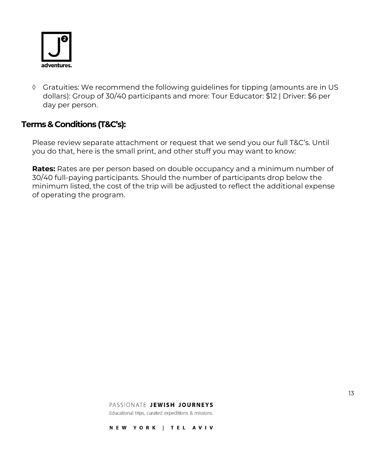

 Gratuities: We recommend the following guidelines for tipping (amounts are in US dollars): Group of 30/40 participants and more: Tour Educator: \$12 | Driver: \$6 per day per person.

## **Terms & Conditions (T&C's):**

Please review separate attachment or request that we send you our full T&C's. Until you do that, here is the small print, and other stuff you may want to know:

**Rates:** Rates are per person based on double occupancy and a minimum number of 30/40 full-paying participants. Should the number of participants drop below the minimum listed, the cost of the trip will be adjusted to reflect the additional expense of operating the program.

#### PASSIONATE JEWISH JOURNEYS

Educational trips, curated expeditions & missions.